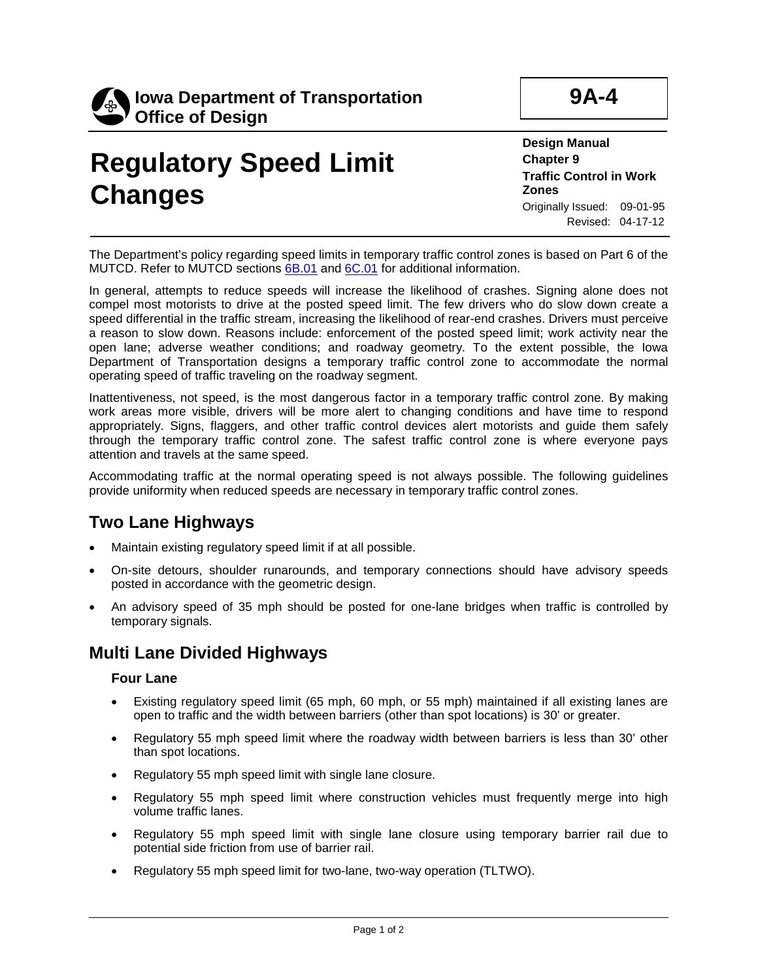

# **Regulatory Speed Limit Changes**

**Design Manual Chapter 9 Traffic Control in Work Zones** Originally Issued: 09-01-95 Revised: 04-17-12

**9A-4**

The Department's policy regarding speed limits in temporary traffic control zones is based on Part 6 of the MUTCD. Refer to MUTCD sections [6B.01](http://mutcd.fhwa.dot.gov/pdfs/2009/part6.pdf) and [6C.01](http://mutcd.fhwa.dot.gov/pdfs/2009/part6.pdf) for additional information.

In general, attempts to reduce speeds will increase the likelihood of crashes. Signing alone does not compel most motorists to drive at the posted speed limit. The few drivers who do slow down create a speed differential in the traffic stream, increasing the likelihood of rear-end crashes. Drivers must perceive a reason to slow down. Reasons include: enforcement of the posted speed limit; work activity near the open lane; adverse weather conditions; and roadway geometry. To the extent possible, the Iowa Department of Transportation designs a temporary traffic control zone to accommodate the normal operating speed of traffic traveling on the roadway segment.

Inattentiveness, not speed, is the most dangerous factor in a temporary traffic control zone. By making work areas more visible, drivers will be more alert to changing conditions and have time to respond appropriately. Signs, flaggers, and other traffic control devices alert motorists and guide them safely through the temporary traffic control zone. The safest traffic control zone is where everyone pays attention and travels at the same speed.

Accommodating traffic at the normal operating speed is not always possible. The following guidelines provide uniformity when reduced speeds are necessary in temporary traffic control zones.

### **Two Lane Highways**

- Maintain existing regulatory speed limit if at all possible.
- On-site detours, shoulder runarounds, and temporary connections should have advisory speeds posted in accordance with the geometric design.
- An advisory speed of 35 mph should be posted for one-lane bridges when traffic is controlled by temporary signals.

### **Multi Lane Divided Highways**

#### **Four Lane**

- Existing regulatory speed limit (65 mph, 60 mph, or 55 mph) maintained if all existing lanes are open to traffic and the width between barriers (other than spot locations) is 30' or greater.
- Regulatory 55 mph speed limit where the roadway width between barriers is less than 30' other than spot locations.
- Regulatory 55 mph speed limit with single lane closure.
- Regulatory 55 mph speed limit where construction vehicles must frequently merge into high volume traffic lanes.
- Regulatory 55 mph speed limit with single lane closure using temporary barrier rail due to potential side friction from use of barrier rail.
- Regulatory 55 mph speed limit for two-lane, two-way operation (TLTWO).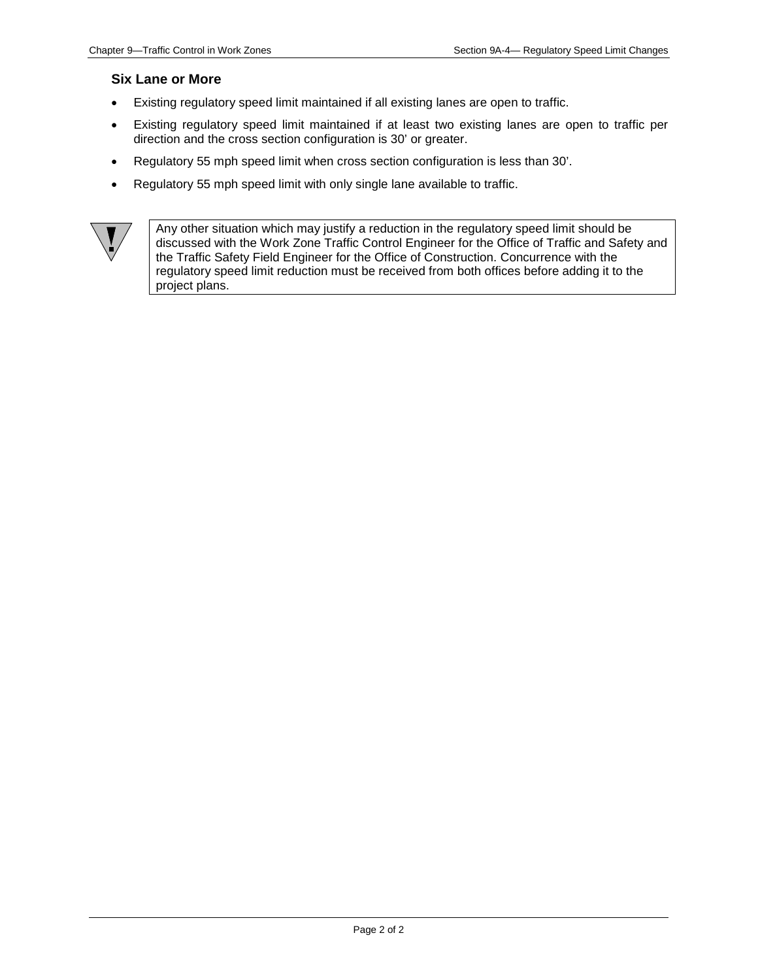#### **Six Lane or More**

- Existing regulatory speed limit maintained if all existing lanes are open to traffic.
- Existing regulatory speed limit maintained if at least two existing lanes are open to traffic per direction and the cross section configuration is 30' or greater.
- Regulatory 55 mph speed limit when cross section configuration is less than 30'.
- Regulatory 55 mph speed limit with only single lane available to traffic.



Any other situation which may justify a reduction in the regulatory speed limit should be discussed with the Work Zone Traffic Control Engineer for the Office of Traffic and Safety and the Traffic Safety Field Engineer for the Office of Construction. Concurrence with the regulatory speed limit reduction must be received from both offices before adding it to the project plans.